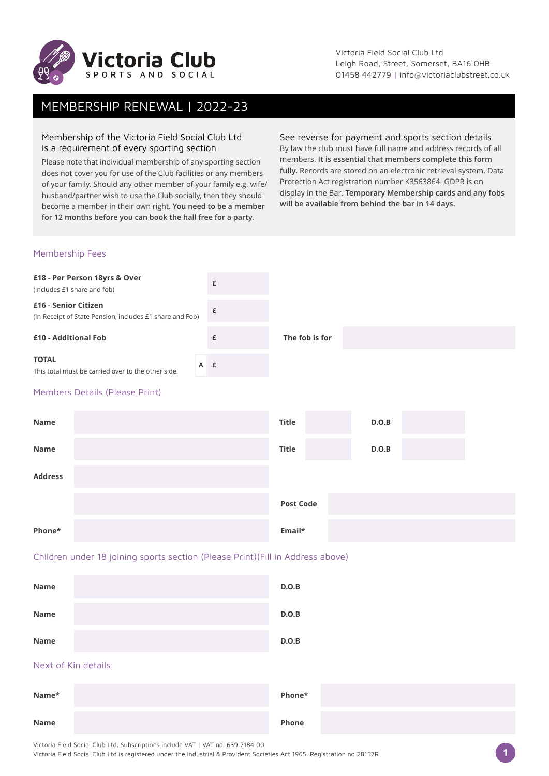

Victoria Field Social Club Ltd Leigh Road, Street, Somerset, BA16 0HB 01458 442779 | info@victoriaclubstreet.co.uk

# MEMBERSHIP RENEWAL | 2022-23

## Membership of the Victoria Field Social Club Ltd is a requirement of every sporting section

Please note that individual membership of any sporting section does not cover you for use of the Club facilities or any members of your family. Should any other member of your family e.g. wife/ husband/partner wish to use the Club socially, then they should become a member in their own right. **You need to be a member for 12 months before you can book the hall free for a party.**

#### See reverse for payment and sports section details

By law the club must have full name and address records of all members. **It is essential that members complete this form fully.** Records are stored on an electronic retrieval system. Data Protection Act registration number K3563864. GDPR is on display in the Bar. **Temporary Membership cards and any fobs will be available from behind the bar in 14 days.**

### Membership Fees

| £18 - Per Person 18yrs & Over<br>(includes £1 share and fob)                     | £   |                |       |  |  |
|----------------------------------------------------------------------------------|-----|----------------|-------|--|--|
| £16 - Senior Citizen<br>(In Receipt of State Pension, includes £1 share and Fob) | £   |                |       |  |  |
| £10 - Additional Fob                                                             | £   | The fob is for |       |  |  |
| <b>TOTAL</b><br>This total must be carried over to the other side.               | A £ |                |       |  |  |
| Members Details (Please Print)                                                   |     |                |       |  |  |
| Name                                                                             |     | <b>Title</b>   | D.O.B |  |  |

| Name           | Title            | D.O.B |
|----------------|------------------|-------|
| <b>Address</b> |                  |       |
|                | <b>Post Code</b> |       |
| Phone*         | Email*           |       |

## Children under 18 joining sports section (Please Print)(Fill in Address above)

| Name | D.O.B |
|------|-------|
| Name | D.O.B |
| Name | D.O.B |

## Next of Kin details

| Name* | Phone* |  |
|-------|--------|--|
| Name  | Phone  |  |

Victoria Field Social Club Ltd. Subscriptions include VAT | VAT no. 639 7184 00

Victoria Field Social Club Ltd is registered under the Industrial & Provident Societies Act 1965. Registration no 28157R **1**